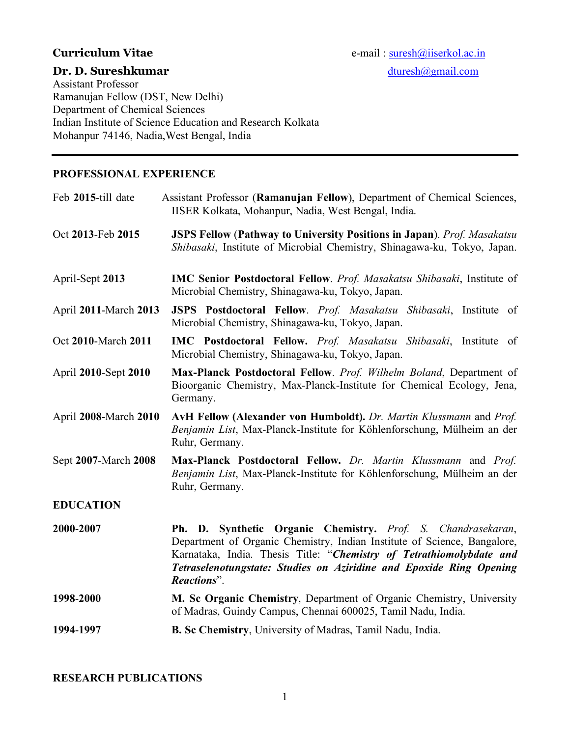Assistant Professor Ramanujan Fellow (DST, New Delhi) Department of Chemical Sciences Indian Institute of Science Education and Research Kolkata Mohanpur 74146, Nadia,West Bengal, India

# **PROFESSIONAL EXPERIENCE**

| Feb 2015-till date    | Assistant Professor (Ramanujan Fellow), Department of Chemical Sciences,<br>IISER Kolkata, Mohanpur, Nadia, West Bengal, India.                                                                                                                                                                                  |
|-----------------------|------------------------------------------------------------------------------------------------------------------------------------------------------------------------------------------------------------------------------------------------------------------------------------------------------------------|
| Oct 2013-Feb 2015     | <b>JSPS Fellow (Pathway to University Positions in Japan)</b> . Prof. Masakatsu<br>Shibasaki, Institute of Microbial Chemistry, Shinagawa-ku, Tokyo, Japan.                                                                                                                                                      |
| April-Sept 2013       | <b>IMC Senior Postdoctoral Fellow.</b> Prof. Masakatsu Shibasaki, Institute of<br>Microbial Chemistry, Shinagawa-ku, Tokyo, Japan.                                                                                                                                                                               |
| April 2011-March 2013 | JSPS Postdoctoral Fellow. Prof. Masakatsu Shibasaki, Institute of<br>Microbial Chemistry, Shinagawa-ku, Tokyo, Japan.                                                                                                                                                                                            |
| Oct 2010-March 2011   | <b>IMC</b> Postdoctoral Fellow. <i>Prof. Masakatsu Shibasaki</i> , Institute of<br>Microbial Chemistry, Shinagawa-ku, Tokyo, Japan.                                                                                                                                                                              |
| April 2010-Sept 2010  | Max-Planck Postdoctoral Fellow. Prof. Wilhelm Boland, Department of<br>Bioorganic Chemistry, Max-Planck-Institute for Chemical Ecology, Jena,<br>Germany.                                                                                                                                                        |
| April 2008-March 2010 | AvH Fellow (Alexander von Humboldt). Dr. Martin Klussmann and Prof.<br>Benjamin List, Max-Planck-Institute for Köhlenforschung, Mülheim an der<br>Ruhr, Germany.                                                                                                                                                 |
| Sept 2007-March 2008  | Max-Planck Postdoctoral Fellow. Dr. Martin Klussmann and Prof.<br>Benjamin List, Max-Planck-Institute for Köhlenforschung, Mülheim an der<br>Ruhr, Germany.                                                                                                                                                      |
| <b>EDUCATION</b>      |                                                                                                                                                                                                                                                                                                                  |
| 2000-2007             | Synthetic Organic Chemistry. Prof. S. Chandrasekaran,<br><b>Ph. D.</b><br>Department of Organic Chemistry, Indian Institute of Science, Bangalore,<br>Karnataka, India. Thesis Title: "Chemistry of Tetrathiomolybdate and<br>Tetraselenotungstate: Studies on Aziridine and Epoxide Ring Opening<br>Reactions". |
| 1998-2000             | M. Sc Organic Chemistry, Department of Organic Chemistry, University<br>of Madras, Guindy Campus, Chennai 600025, Tamil Nadu, India.                                                                                                                                                                             |
| 1994-1997             | B. Sc Chemistry, University of Madras, Tamil Nadu, India.                                                                                                                                                                                                                                                        |

**RESEARCH PUBLICATIONS**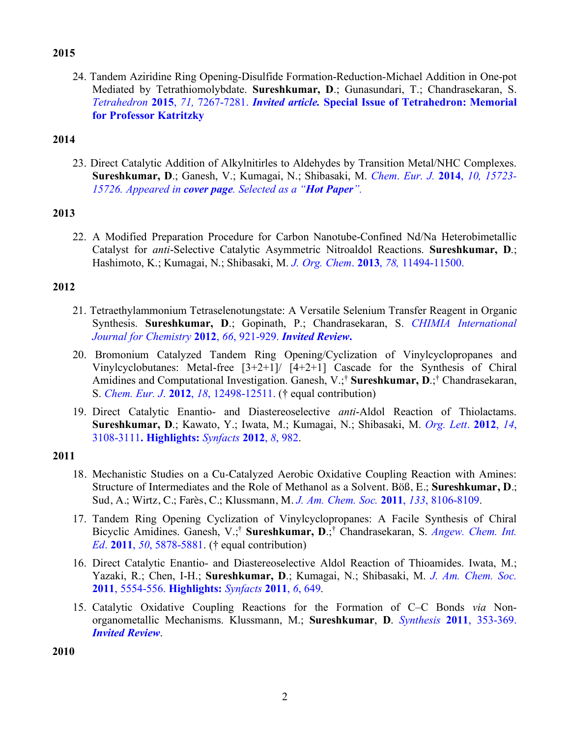# **2015**

24. Tandem Aziridine Ring Opening-Disulfide Formation-Reduction-Michael Addition in One-pot Mediated by Tetrathiomolybdate. **Sureshkumar, D**.; Gunasundari, T.; Chandrasekaran, S. *Tetrahedron* **2015**, *71,* 7267-7281. *Invited article.* **Special Issue of Tetrahedron: Memorial for Professor Katritzky**

## **2014**

23. Direct Catalytic Addition of Alkylnitirles to Aldehydes by Transition Metal/NHC Complexes. **Sureshkumar, D**.; Ganesh, V.; Kumagai, N.; Shibasaki, M. *Chem*. *Eur. J.* **2014**, *10, 15723- 15726. Appeared in cover page. Selected as a "Hot Paper".*

# **2013**

22. A Modified Preparation Procedure for Carbon Nanotube-Confined Nd/Na Heterobimetallic Catalyst for *anti*-Selective Catalytic Asymmetric Nitroaldol Reactions. **Sureshkumar, D**.; Hashimoto, K.; Kumagai, N.; Shibasaki, M. *J. Org. Chem*. **2013**, *78,* 11494-11500.

#### **2012**

- 21. Tetraethylammonium Tetraselenotungstate: A Versatile Selenium Transfer Reagent in Organic Synthesis. **Sureshkumar, D**.; Gopinath, P.; Chandrasekaran, S. *CHIMIA International Journal for Chemistry* **2012**, *66*, 921-929. *Invited Review***.**
- 20. Bromonium Catalyzed Tandem Ring Opening/Cyclization of Vinylcyclopropanes and Vinylcyclobutanes: Metal-free [3+2+1]/ [4+2+1] Cascade for the Synthesis of Chiral Amidines and Computational Investigation. Ganesh, V.;† **Sureshkumar, D**.;† Chandrasekaran, S. *Chem. Eur. J*. **2012**, *18*, 12498-12511. († equal contribution)
- 19. Direct Catalytic Enantio- and Diastereoselective *anti*-Aldol Reaction of Thiolactams. **Sureshkumar, D**.; Kawato, Y.; Iwata, M.; Kumagai, N.; Shibasaki, M. *Org. Lett*. **2012**, *14*, 3108-3111**. Highlights:** *Synfacts* **2012**, *8*, 982.

#### **2011**

- 18. Mechanistic Studies on a Cu-Catalyzed Aerobic Oxidative Coupling Reaction with Amines: Structure of Intermediates and the Role of Methanol as a Solvent. Böß, E.; **Sureshkumar, D**.; Sud, A.; Wirtz, C.; Farès, C.; Klussmann, M. *J. Am. Chem. Soc.* **2011**, *133*, 8106-8109.
- 17. Tandem Ring Opening Cyclization of Vinylcyclopropanes: A Facile Synthesis of Chiral Bicyclic Amidines. Ganesh, V.;† **Sureshkumar, D**.;† Chandrasekaran, S. *Angew. Chem. Int. Ed*. **2011**, *50*, 5878-5881. († equal contribution)
- 16. Direct Catalytic Enantio- and Diastereoselective Aldol Reaction of Thioamides. Iwata, M.; Yazaki, R.; Chen, I-H.; **Sureshkumar, D**.; Kumagai, N.; Shibasaki, M. *J. Am. Chem. Soc.* **2011**, 5554-556. **Highlights:** *Synfacts* **2011**, *6*, 649.
- 15. Catalytic Oxidative Coupling Reactions for the Formation of C–C Bonds *via* Nonorganometallic Mechanisms. Klussmann, M.; **Sureshkumar**, **D**. *Synthesis* **2011**, 353-369. *Invited Review*.

**2010**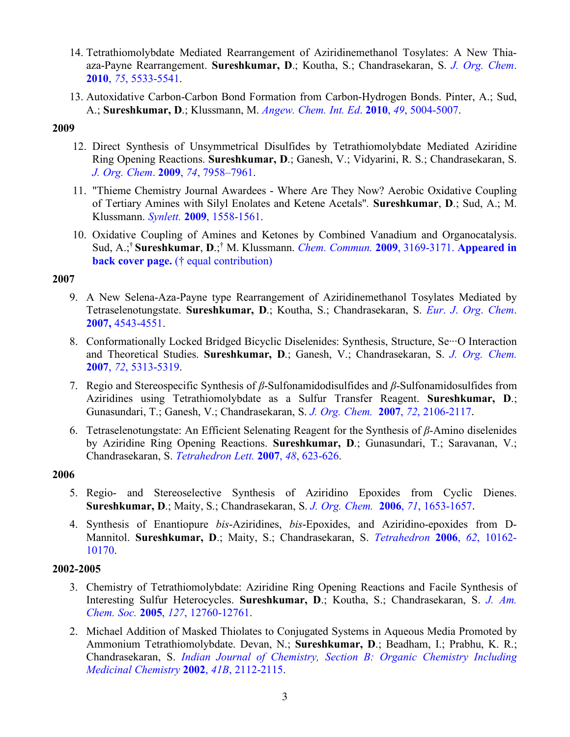- 14. Tetrathiomolybdate Mediated Rearrangement of Aziridinemethanol Tosylates: A New Thiaaza-Payne Rearrangement. **Sureshkumar, D**.; Koutha, S.; Chandrasekaran, S. *J. Org. Chem*. **2010**, *75*, 5533-5541.
- 13. Autoxidative Carbon-Carbon Bond Formation from Carbon-Hydrogen Bonds. Pinter, A.; Sud, A.; **Sureshkumar, D**.; Klussmann, M. *Angew. Chem. Int. Ed*. **2010**, *49*, 5004-5007.

#### **2009**

- 12. Direct Synthesis of Unsymmetrical Disulfides by Tetrathiomolybdate Mediated Aziridine Ring Opening Reactions. **Sureshkumar, D**.; Ganesh, V.; Vidyarini, R. S.; Chandrasekaran, S. *J. Org. Chem*. **2009**, *74*, 7958–7961.
- 11. "Thieme Chemistry Journal Awardees Where Are They Now? Aerobic Oxidative Coupling of Tertiary Amines with Silyl Enolates and Ketene Acetals"*.* **Sureshkumar**, **D**.; Sud, A.; M. Klussmann. *Synlett.* **2009**, 1558-1561.
- 10. Oxidative Coupling of Amines and Ketones by Combined Vanadium and Organocatalysis. Sud, A.;† **Sureshkumar**, **D**.;† M. Klussmann. *Chem. Commun.* **2009**, 3169-3171. **Appeared in back cover page.** († equal contribution)

#### **2007**

- 9. A New Selena-Aza-Payne type Rearrangement of Aziridinemethanol Tosylates Mediated by Tetraselenotungstate. **Sureshkumar, D**.; Koutha, S.; Chandrasekaran, S. *Eur*. *J*. *Org*. *Chem*. **2007,** 4543-4551.
- 8. Conformationally Locked Bridged Bicyclic Diselenides: Synthesis, Structure, Se<sup>...</sup>O Interaction and Theoretical Studies. **Sureshkumar, D**.; Ganesh, V.; Chandrasekaran, S. *J. Org. Chem.* **2007**, *72*, 5313-5319.
- 7. Regio and Stereospecific Synthesis of *β*-Sulfonamidodisulfides and *β*-Sulfonamidosulfides from Aziridines using Tetrathiomolybdate as a Sulfur Transfer Reagent. **Sureshkumar, D**.; Gunasundari, T.; Ganesh, V.; Chandrasekaran, S. *J. Org. Chem.* **2007**, *72*, 2106-2117.
- 6. Tetraselenotungstate: An Efficient Selenating Reagent for the Synthesis of *β*-Amino diselenides by Aziridine Ring Opening Reactions. **Sureshkumar, D**.; Gunasundari, T.; Saravanan, V.; Chandrasekaran, S. *Tetrahedron Lett.* **2007**, *48*, 623-626.

# **2006**

- 5. Regio- and Stereoselective Synthesis of Aziridino Epoxides from Cyclic Dienes. **Sureshkumar, D**.; Maity, S.; Chandrasekaran, S. *J. Org. Chem.* **2006**, *71*, 1653-1657.
- 4. Synthesis of Enantiopure *bis*-Aziridines, *bis*-Epoxides, and Aziridino-epoxides from D-Mannitol. **Sureshkumar, D**.; Maity, S.; Chandrasekaran, S. *Tetrahedron* **2006**, *62*, 10162- 10170.

# **2002-2005**

- 3. Chemistry of Tetrathiomolybdate: Aziridine Ring Opening Reactions and Facile Synthesis of Interesting Sulfur Heterocycles. **Sureshkumar, D**.; Koutha, S.; Chandrasekaran, S. *J. Am. Chem. Soc.* **2005**, *127*, 12760-12761.
- 2. Michael Addition of Masked Thiolates to Conjugated Systems in Aqueous Media Promoted by Ammonium Tetrathiomolybdate. Devan, N.; **Sureshkumar, D**.; Beadham, I.; Prabhu, K. R.; Chandrasekaran, S. *Indian Journal of Chemistry, Section B: Organic Chemistry Including Medicinal Chemistry* **2002**, *41B*, 2112-2115.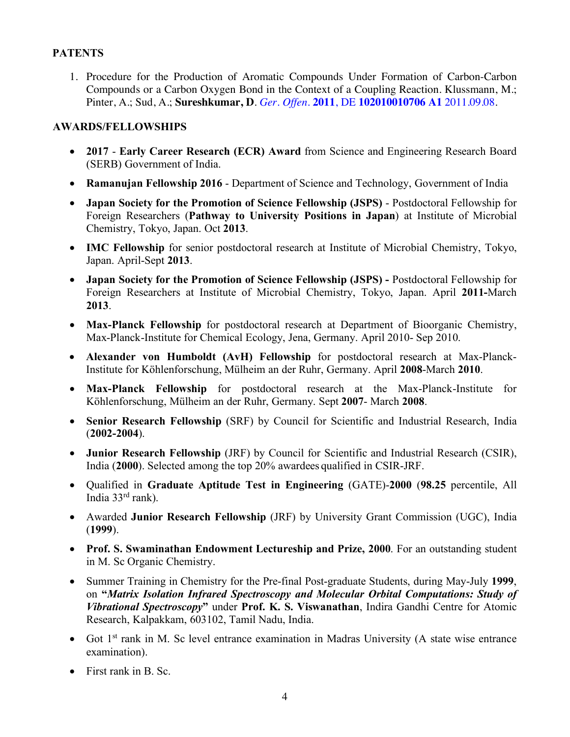## **PATENTS**

1. Procedure for the Production of Aromatic Compounds Under Formation of Carbon-Carbon Compounds or a Carbon Oxygen Bond in the Context of a Coupling Reaction. Klussmann, M.; Pinter, A.; Sud, A.; **Sureshkumar, D**. *Ger. Offen.* **2011**, DE **102010010706 A1** 2011.09.08.

## **AWARDS/FELLOWSHIPS**

- **2017 Early Career Research (ECR) Award** from Science and Engineering Research Board (SERB) Government of India.
- **Ramanujan Fellowship 2016** Department of Science and Technology, Government of India
- **Japan Society for the Promotion of Science Fellowship (JSPS)**  Postdoctoral Fellowship for Foreign Researchers (**Pathway to University Positions in Japan**) at Institute of Microbial Chemistry, Tokyo, Japan. Oct **2013**.
- **IMC Fellowship** for senior postdoctoral research at Institute of Microbial Chemistry, Tokyo, Japan. April-Sept **2013**.
- **Japan Society for the Promotion of Science Fellowship (JSPS) -** Postdoctoral Fellowship for Foreign Researchers at Institute of Microbial Chemistry, Tokyo, Japan. April **2011-**March **2013**.
- **Max-Planck Fellowship** for postdoctoral research at Department of Bioorganic Chemistry, Max-Planck-Institute for Chemical Ecology, Jena, Germany. April 2010- Sep 2010.
- **Alexander von Humboldt (AvH) Fellowship** for postdoctoral research at Max-Planck-Institute for Köhlenforschung, Mülheim an der Ruhr, Germany. April **2008**-March **2010**.
- **Max-Planck Fellowship** for postdoctoral research at the Max-Planck-Institute for Köhlenforschung, Mülheim an der Ruhr, Germany. Sept **2007**- March **2008**.
- **Senior Research Fellowship** (SRF) by Council for Scientific and Industrial Research, India (**2002-2004**).
- **Junior Research Fellowship** (JRF) by Council for Scientific and Industrial Research (CSIR), India (**2000**). Selected among the top 20% awardees qualified in CSIR-JRF.
- Qualified in **Graduate Aptitude Test in Engineering** (GATE)-**2000** (**98.25** percentile, All India 33rd rank).
- Awarded **Junior Research Fellowship** (JRF) by University Grant Commission (UGC), India (**1999**).
- **Prof. S. Swaminathan Endowment Lectureship and Prize, 2000**. For an outstanding student in M. Sc Organic Chemistry.
- Summer Training in Chemistry for the Pre-final Post-graduate Students, during May-July **1999**, on **"***Matrix Isolation Infrared Spectroscopy and Molecular Orbital Computations: Study of Vibrational Spectroscopy***"** under **Prof. K. S. Viswanathan**, Indira Gandhi Centre for Atomic Research, Kalpakkam, 603102, Tamil Nadu, India.
- Got 1<sup>st</sup> rank in M. Sc level entrance examination in Madras University (A state wise entrance examination).
- First rank in B. Sc.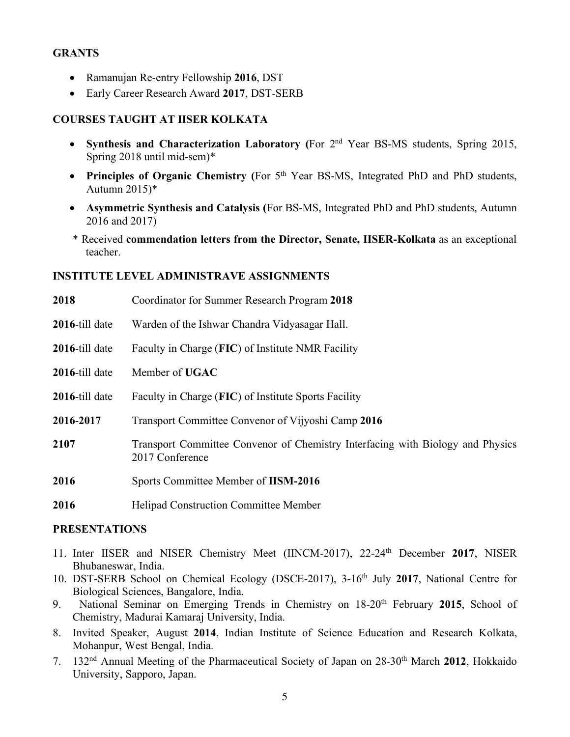## **GRANTS**

- Ramanujan Re-entry Fellowship **2016**, DST
- Early Career Research Award **2017**, DST-SERB

# **COURSES TAUGHT AT IISER KOLKATA**

- **Synthesis and Characterization Laboratory (**For 2nd Year BS-MS students, Spring 2015, Spring 2018 until mid-sem)\*
- **Principles of Organic Chemistry** (For 5<sup>th</sup> Year BS-MS, Integrated PhD and PhD students, Autumn 2015)\*
- **Asymmetric Synthesis and Catalysis (**For BS-MS, Integrated PhD and PhD students, Autumn 2016 and 2017)
- \* Received **commendation letters from the Director, Senate, IISER-Kolkata** as an exceptional teacher.

#### **INSTITUTE LEVEL ADMINISTRAVE ASSIGNMENTS**

| 2018           | Coordinator for Summer Research Program 2018                                                      |
|----------------|---------------------------------------------------------------------------------------------------|
| 2016-till date | Warden of the Ishwar Chandra Vidyasagar Hall.                                                     |
| 2016-till date | Faculty in Charge (FIC) of Institute NMR Facility                                                 |
| 2016-till date | Member of UGAC                                                                                    |
| 2016-till date | Faculty in Charge (FIC) of Institute Sports Facility                                              |
| 2016-2017      | Transport Committee Convenor of Vijyoshi Camp 2016                                                |
| 2107           | Transport Committee Convenor of Chemistry Interfacing with Biology and Physics<br>2017 Conference |
| 2016           | Sports Committee Member of IISM-2016                                                              |
| 2016           | <b>Helipad Construction Committee Member</b>                                                      |

## **PRESENTATIONS**

- 11. Inter IISER and NISER Chemistry Meet (IINCM-2017), 22-24th December **2017**, NISER Bhubaneswar, India.
- 10. DST-SERB School on Chemical Ecology (DSCE-2017), 3-16th July **2017**, National Centre for Biological Sciences, Bangalore, India.
- 9. National Seminar on Emerging Trends in Chemistry on 18-20th February **2015**, School of Chemistry, Madurai Kamaraj University, India.
- 8. Invited Speaker, August **2014**, Indian Institute of Science Education and Research Kolkata, Mohanpur, West Bengal, India.
- 7. 132nd Annual Meeting of the Pharmaceutical Society of Japan on 28-30th March **2012**, Hokkaido University, Sapporo, Japan.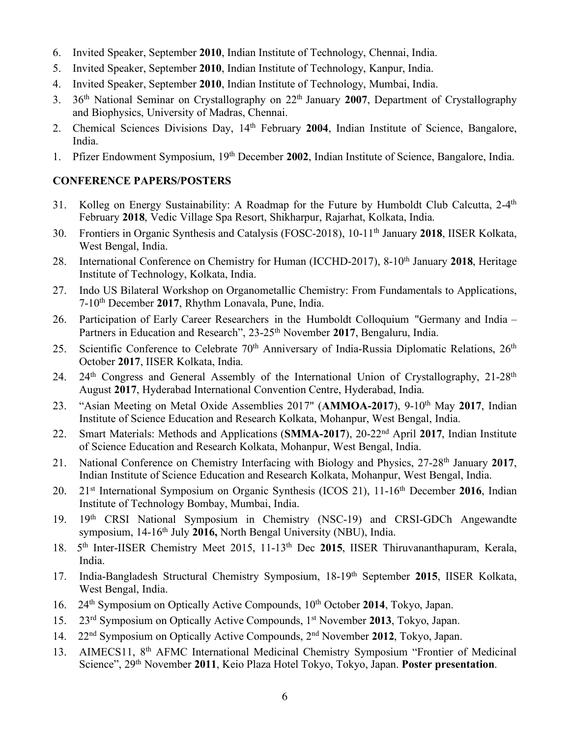- 6. Invited Speaker, September **2010**, Indian Institute of Technology, Chennai, India.
- 5. Invited Speaker, September **2010**, Indian Institute of Technology, Kanpur, India.
- 4. Invited Speaker, September **2010**, Indian Institute of Technology, Mumbai, India.
- 3. 36th National Seminar on Crystallography on 22th January **2007**, Department of Crystallography and Biophysics, University of Madras, Chennai.
- 2. Chemical Sciences Divisions Day, 14th February **2004**, Indian Institute of Science, Bangalore, India.
- 1. Pfizer Endowment Symposium, 19th December **2002**, Indian Institute of Science, Bangalore, India.

# **CONFERENCE PAPERS/POSTERS**

- 31. Kolleg on Energy Sustainability: A Roadmap for the Future by Humboldt Club Calcutta, 2-4<sup>th</sup> February **2018**, Vedic Village Spa Resort, Shikharpur, Rajarhat, Kolkata, India.
- 30. Frontiers in Organic Synthesis and Catalysis (FOSC-2018), 10-11th January **2018**, IISER Kolkata, West Bengal, India.
- 28. International Conference on Chemistry for Human (ICCHD-2017), 8-10<sup>th</sup> January 2018, Heritage Institute of Technology, Kolkata, India.
- 27. Indo US Bilateral Workshop on Organometallic Chemistry: From Fundamentals to Applications, 7-10th December **2017**, Rhythm Lonavala, Pune, India.
- 26. Participation of Early Career Researchers in the Humboldt Colloquium "Germany and India Partners in Education and Research", 23-25<sup>th</sup> November 2017, Bengaluru, India.
- 25. Scientific Conference to Celebrate  $70<sup>th</sup>$  Anniversary of India-Russia Diplomatic Relations,  $26<sup>th</sup>$ October **2017**, IISER Kolkata, India.
- 24. 24<sup>th</sup> Congress and General Assembly of the International Union of Crystallography, 21-28<sup>th</sup> August **2017**, Hyderabad International Convention Centre, Hyderabad, India.
- 23. "Asian Meeting on Metal Oxide Assemblies 2017" (**AMMOA-2017**), 9-10th May **2017**, Indian Institute of Science Education and Research Kolkata, Mohanpur, West Bengal, India.
- 22. Smart Materials: Methods and Applications (**SMMA-2017**), 20-22nd April **2017**, Indian Institute of Science Education and Research Kolkata, Mohanpur, West Bengal, India.
- 21. National Conference on Chemistry Interfacing with Biology and Physics, 27-28th January **2017**, Indian Institute of Science Education and Research Kolkata, Mohanpur, West Bengal, India.
- 20. 21st International Symposium on Organic Synthesis (ICOS 21), 11-16th December **2016**, Indian Institute of Technology Bombay, Mumbai, India.
- 19. 19th CRSI National Symposium in Chemistry (NSC-19) and CRSI-GDCh Angewandte symposium, 14-16<sup>th</sup> July 2016, North Bengal University (NBU), India.
- 18. 5th Inter-IISER Chemistry Meet 2015, 11-13th Dec **2015**, IISER Thiruvananthapuram, Kerala, India.
- 17. India-Bangladesh Structural Chemistry Symposium, 18-19th September **2015**, IISER Kolkata, West Bengal, India.
- 16. 24<sup>th</sup> Symposium on Optically Active Compounds, 10<sup>th</sup> October 2014, Tokyo, Japan.
- 15. 23rd Symposium on Optically Active Compounds, 1st November **2013**, Tokyo, Japan.
- 14. 22nd Symposium on Optically Active Compounds, 2nd November **2012**, Tokyo, Japan.
- 13. AIMECS11, 8<sup>th</sup> AFMC International Medicinal Chemistry Symposium "Frontier of Medicinal Science", 29th November **2011**, Keio Plaza Hotel Tokyo, Tokyo, Japan. **Poster presentation**.